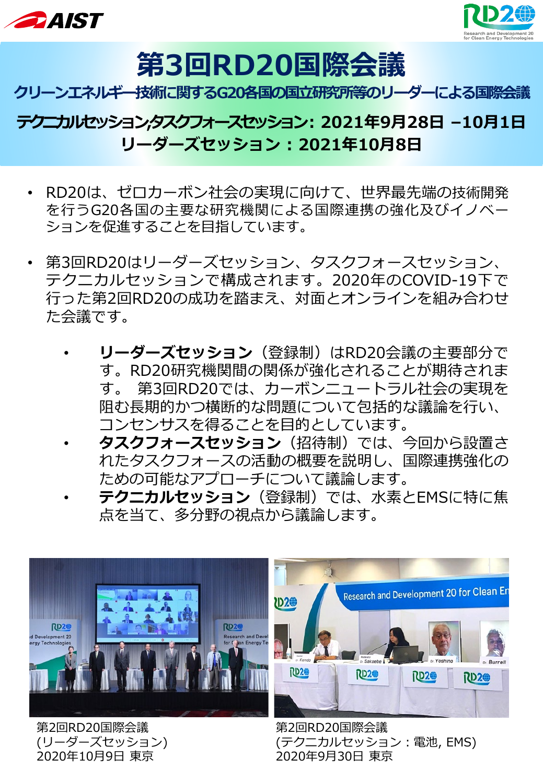



# **第3回RD20国際会議**

### **クリーンエネルギー技術に関するG20各国の国立研究所等のリーダーによる国際会議**

# **テクニカルセッション,タスクフォースセッション: 2021年9月28日 –10月1日 リーダーズセッション : 2021年10月8日**

- RD20は、ゼロカーボン社会の実現に向けて、世界最先端の技術開発 を行うG20各国の主要な研究機関による国際連携の強化及びイノベー ションを促進することを目指しています。
- 第3回RD20はリーダーズセッション、タスクフォースセッション、 テクニカルセッションで構成されます。2020年のCOVID-19下で 行った第2回RD20の成功を踏まえ、対面とオンラインを組み合わせ た会議です。
	- **リーダーズセッション**(登録制)はRD20会議の主要部分で す。RD20研究機関間の関係が強化されることが期待されま す。 第3回RD20では、カーボンニュートラル社会の実現を 阻む長期的かつ横断的な問題について包括的な議論を行い、 コンセンサスを得ることを目的としています。
	- **タスクフォースセッション**(招待制)では、今回から設置さ れたタスクフォースの活動の概要を説明し、国際連携強化の ための可能なアプローチについて議論します。
	- **テクニカルセッション**(登録制)では、水素とEMSに特に焦 点を当て、多分野の視点から議論します。

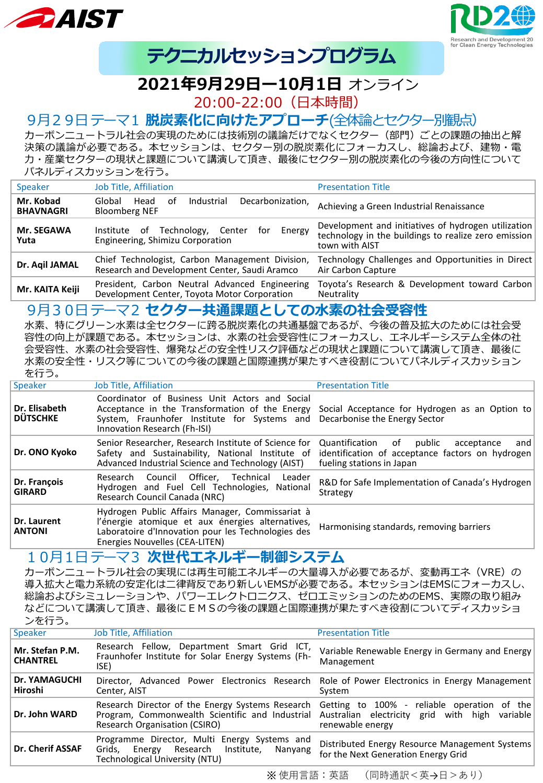![](_page_1_Picture_0.jpeg)

![](_page_1_Picture_1.jpeg)

# **テクニカルセッションプログラム**

# **2021年9月29日ー10月1日** オンライン

20:00-22:00(日本時間)

#### 9月29日テーマ1 **脱炭素化に向けたアプローチ**(全体論とセクター別観点)

カーボンニュートラル社会の実現のためには技術別の議論だけでなくセクター(部門)ごとの課題の抽出と解 決策の議論が必要である。本セッションは、セクター別の脱炭素化にフォーカスし、総論および、建物・電 力・産業セクターの現状と課題について講演して頂き、最後にセクター別の脱炭素化の今後の方向性について パネルディスカッションを行う。

| <b>Speaker</b>                | Job Title, Affiliation                                                                           | <b>Presentation Title</b>                                                                                                     |
|-------------------------------|--------------------------------------------------------------------------------------------------|-------------------------------------------------------------------------------------------------------------------------------|
| Mr. Kobad<br><b>BHAVNAGRI</b> | Decarbonization,<br>Industrial<br>Global<br>Head<br>nt.<br><b>Bloomberg NEF</b>                  | Achieving a Green Industrial Renaissance                                                                                      |
| <b>Mr. SEGAWA</b><br>Yuta     | Institute of Technology, Center for<br>Energy<br>Engineering, Shimizu Corporation                | Development and initiatives of hydrogen utilization<br>technology in the buildings to realize zero emission<br>town with AIST |
| Dr. Aqil JAMAL                | Chief Technologist, Carbon Management Division,<br>Research and Development Center, Saudi Aramco | Technology Challenges and Opportunities in Direct<br>Air Carbon Capture                                                       |
| Mr. KAITA Keiji               | President, Carbon Neutral Advanced Engineering<br>Development Center, Toyota Motor Corporation   | Toyota's Research & Development toward Carbon<br>Neutrality                                                                   |

#### 9月30日テーマ2 **セクター共通課題としての水素の社会受容性**

水素、特にグリーン水素は全セクターに跨る脱炭素化の共通基盤であるが、今後の普及拡大のためには社会受 容性の向上が課題である。本セッションは、水素の社会受容性にフォーカスし、エネルギーシステム全体の社 会受容性、水素の社会受容性、爆発などの安全性リスク評価などの現状と課題について講演して頂き、最後に 水素の安全性・リスク等についての今後の課題と国際連携が果たすべき役割についてパネルディスカッション を行う。

| ____                             |                                                                                                                                                                                             |                                                                                                                                   |
|----------------------------------|---------------------------------------------------------------------------------------------------------------------------------------------------------------------------------------------|-----------------------------------------------------------------------------------------------------------------------------------|
| Speaker                          | Job Title, Affiliation                                                                                                                                                                      | <b>Presentation Title</b>                                                                                                         |
| Dr. Elisabeth<br><b>DÜTSCHKE</b> | Coordinator of Business Unit Actors and Social<br>Acceptance in the Transformation of the Energy<br>System, Fraunhofer Institute for Systems and<br>Innovation Research (Fh-ISI)            | Social Acceptance for Hydrogen as an Option to<br>Decarbonise the Energy Sector                                                   |
| Dr. ONO Kyoko                    | Senior Researcher, Research Institute of Science for<br>Safety and Sustainability, National Institute of<br>Advanced Industrial Science and Technology (AIST)                               | Quantification of<br>public<br>acceptance<br>and<br>identification of acceptance factors on hydrogen<br>fueling stations in Japan |
| Dr. François<br><b>GIRARD</b>    | Research Council Officer, Technical<br>Leader<br>Hydrogen and Fuel Cell Technologies, National<br>Research Council Canada (NRC)                                                             | R&D for Safe Implementation of Canada's Hydrogen<br>Strategy                                                                      |
| Dr. Laurent<br><b>ANTONI</b>     | Hydrogen Public Affairs Manager, Commissariat à<br>l'énergie atomique et aux énergies alternatives,<br>Laboratoire d'Innovation pour les Technologies des<br>Energies Nouvelles (CEA-LITEN) | Harmonising standards, removing barriers                                                                                          |

#### 10月1日テーマ3 **次世代エネルギー制御システム**

カーボンニュートラル社会の実現には再生可能エネルギーの大量導入が必要であるが、変動再エネ(VRE)の 導入拡大と電力系統の安定化は二律背反であり新しいEMSが必要である。本セッションはEMSにフォーカスし、 総論およびシミュレーションや、パワーエレクトロニクス、ゼロエミッションのためのEMS、実際の取り組み などについて講演して頂き、最後にEMSの今後の課題と国際連携が果たすべき役割についてディスカッショ ンを行う。

| Speaker                            | <b>Job Title, Affiliation</b>                                                                                                                                                                                       | <b>Presentation Title</b>                                                             |
|------------------------------------|---------------------------------------------------------------------------------------------------------------------------------------------------------------------------------------------------------------------|---------------------------------------------------------------------------------------|
| Mr. Stefan P.M.<br><b>CHANTREL</b> | Research Fellow, Department Smart Grid ICT,<br>Fraunhofer Institute for Solar Energy Systems (Fh-<br>ISE)                                                                                                           | Variable Renewable Energy in Germany and Energy<br>Management                         |
| Dr. YAMAGUCHI<br>Hiroshi           | Director, Advanced Power Electronics Research Role of Power Electronics in Energy Management<br>Center, AIST                                                                                                        | System                                                                                |
| Dr. John WARD                      | Research Director of the Energy Systems Research Getting to 100% - reliable operation of the<br>Program, Commonwealth Scientific and Industrial Australian electricity grid<br><b>Research Organisation (CSIRO)</b> | with high<br>variable<br>renewable energy                                             |
| <b>Dr. Cherif ASSAF</b>            | Programme Director, Multi Energy Systems and<br>Grids,<br>Research Institute,<br>Energy<br>Nanyang<br>Technological University (NTU)                                                                                | Distributed Energy Resource Management Systems<br>for the Next Generation Energy Grid |

※ 使用言語:英語 (同時通訳<英→日>あり)